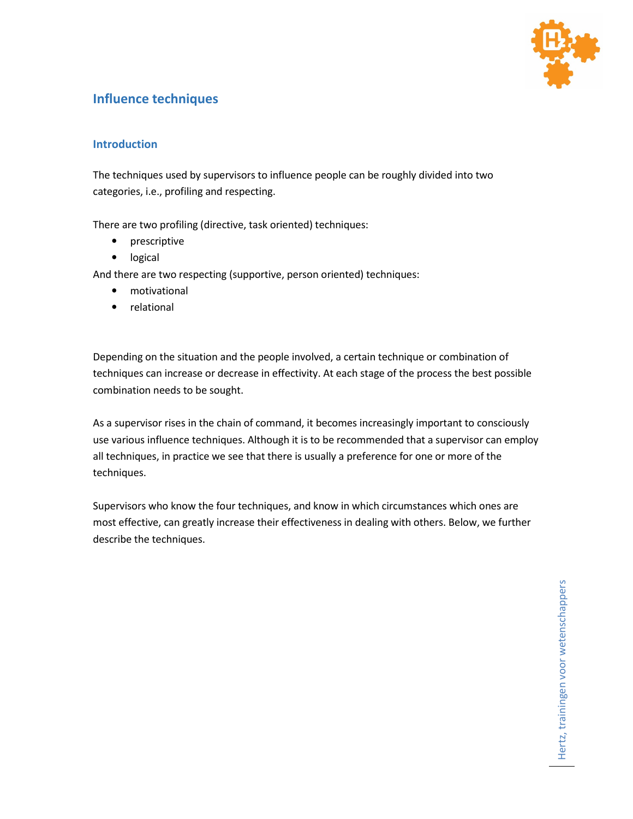

# **Influence techniques**

## **Introduction**

The techniques used by supervisors to influence people can be roughly divided into two categories, i.e., profiling and respecting.

There are two profiling (directive, task oriented) techniques:

- prescriptive
- logical

And there are two respecting (supportive, person oriented) techniques:

- motivational
- relational

Depending on the situation and the people involved, a certain technique or combination of techniques can increase or decrease in effectivity. At each stage of the process the best possible combination needs to be sought.

As a supervisor rises in the chain of command, it becomes increasingly important to consciously use various influence techniques. Although it is to be recommended that a supervisor can employ all techniques, in practice we see that there is usually a preference for one or more of the techniques.

Supervisors who know the four techniques, and know in which circumstances which ones are most effective, can greatly increase their effectiveness in dealing with others. Below, we further describe the techniques.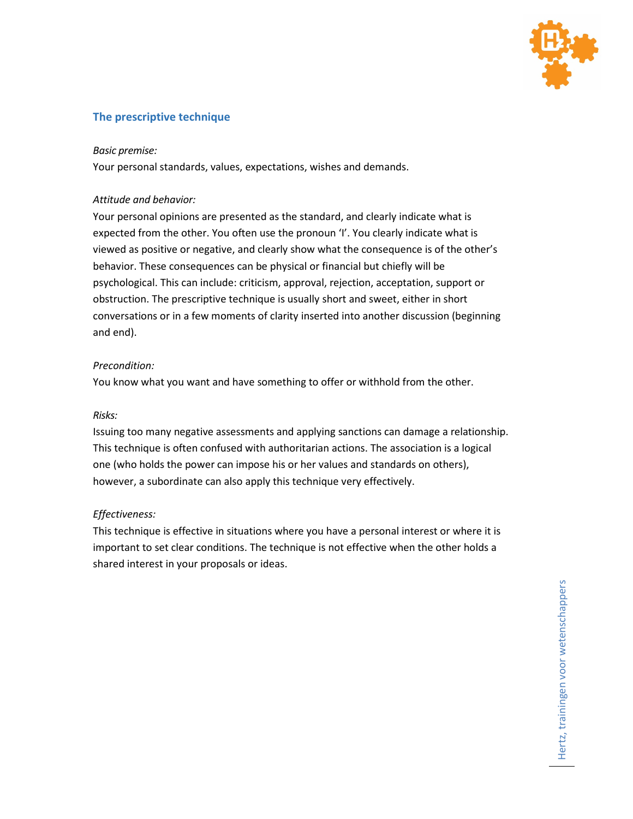

## **The prescriptive technique**

### *Basic premise:*

Your personal standards, values, expectations, wishes and demands.

### *Attitude and behavior:*

Your personal opinions are presented as the standard, and clearly indicate what is expected from the other. You often use the pronoun 'I'. You clearly indicate what is viewed as positive or negative, and clearly show what the consequence is of the other's behavior. These consequences can be physical or financial but chiefly will be psychological. This can include: criticism, approval, rejection, acceptation, support or obstruction. The prescriptive technique is usually short and sweet, either in short conversations or in a few moments of clarity inserted into another discussion (beginning and end).

### *Precondition:*

You know what you want and have something to offer or withhold from the other.

### *Risks:*

Issuing too many negative assessments and applying sanctions can damage a relationship. This technique is often confused with authoritarian actions. The association is a logical one (who holds the power can impose his or her values and standards on others), however, a subordinate can also apply this technique very effectively.

### *Effectiveness:*

This technique is effective in situations where you have a personal interest or where it is important to set clear conditions. The technique is not effective when the other holds a shared interest in your proposals or ideas.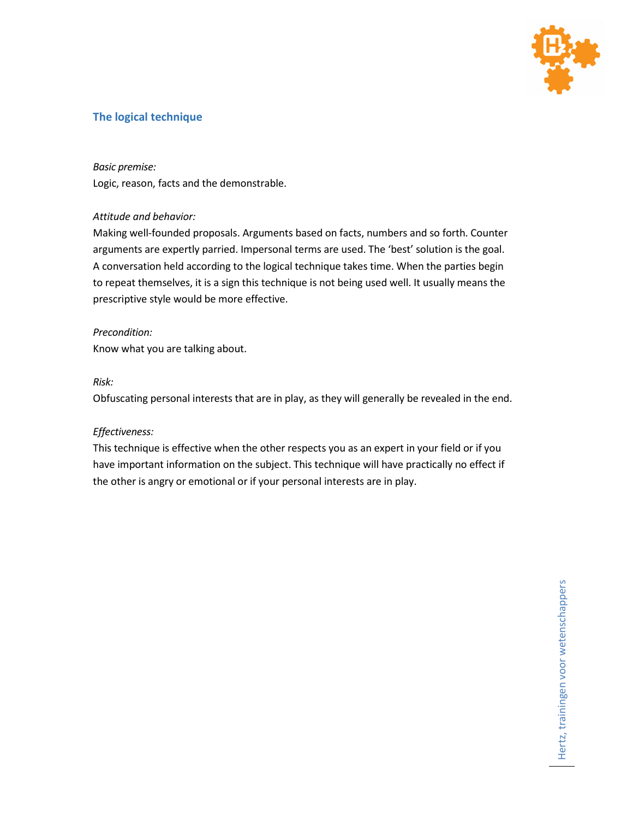

## **The logical technique**

### *Basic premise:*

Logic, reason, facts and the demonstrable.

### *Attitude and behavior:*

Making well-founded proposals. Arguments based on facts, numbers and so forth. Counter arguments are expertly parried. Impersonal terms are used. The 'best' solution is the goal. A conversation held according to the logical technique takes time. When the parties begin to repeat themselves, it is a sign this technique is not being used well. It usually means the prescriptive style would be more effective.

### *Precondition:*

Know what you are talking about.

## *Risk:*

Obfuscating personal interests that are in play, as they will generally be revealed in the end.

### *Effectiveness:*

This technique is effective when the other respects you as an expert in your field or if you have important information on the subject. This technique will have practically no effect if the other is angry or emotional or if your personal interests are in play.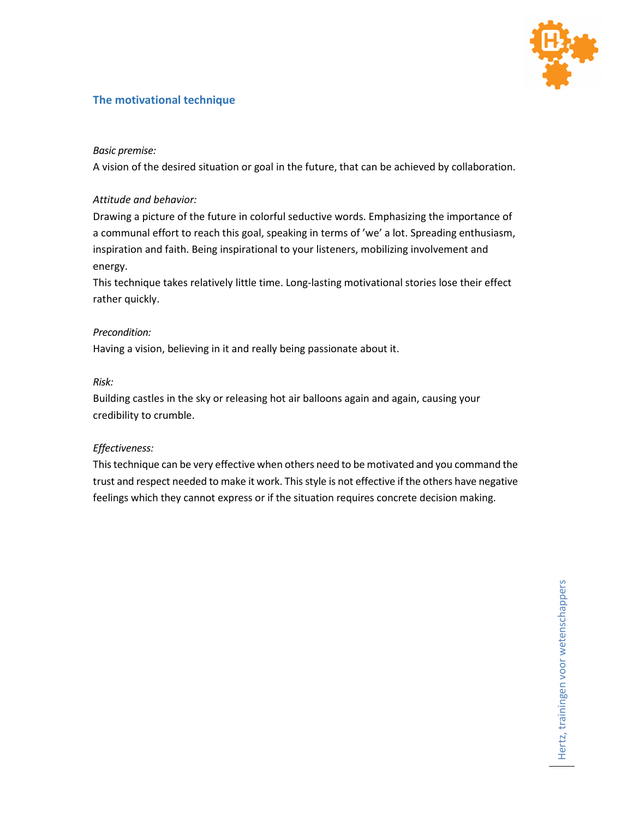

## **The motivational technique**

## *Basic premise:*

A vision of the desired situation or goal in the future, that can be achieved by collaboration.

### *Attitude and behavior:*

Drawing a picture of the future in colorful seductive words. Emphasizing the importance of a communal effort to reach this goal, speaking in terms of 'we' a lot. Spreading enthusiasm, inspiration and faith. Being inspirational to your listeners, mobilizing involvement and energy.

This technique takes relatively little time. Long-lasting motivational stories lose their effect rather quickly.

### *Precondition:*

Having a vision, believing in it and really being passionate about it.

### *Risk:*

Building castles in the sky or releasing hot air balloons again and again, causing your credibility to crumble.

## *Effectiveness:*

This technique can be very effective when others need to be motivated and you command the trust and respect needed to make it work. This style is not effective if the others have negative feelings which they cannot express or if the situation requires concrete decision making.